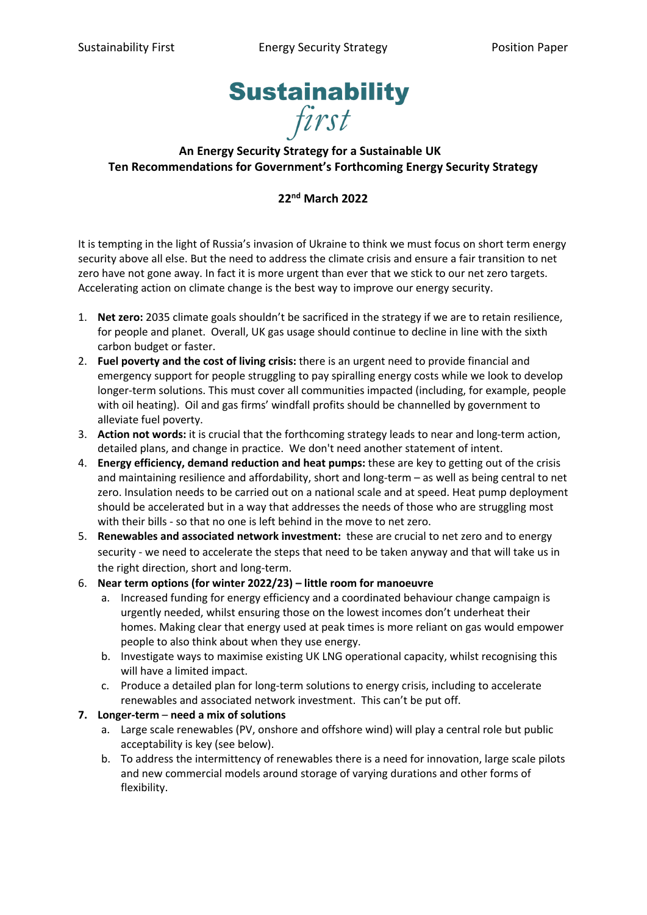

## **An Energy Security Strategy for a Sustainable UK Ten Recommendations for Government's Forthcoming Energy Security Strategy**

## **22nd March 2022**

It is tempting in the light of Russia's invasion of Ukraine to think we must focus on short term energy security above all else. But the need to address the climate crisis and ensure a fair transition to net zero have not gone away. In fact it is more urgent than ever that we stick to our net zero targets. Accelerating action on climate change is the best way to improve our energy security.

- 1. **Net zero:** 2035 climate goals shouldn't be sacrificed in the strategy if we are to retain resilience, for people and planet. Overall, UK gas usage should continue to decline in line with the sixth carbon budget or faster.
- 2. **Fuel poverty and the cost of living crisis:** there is an urgent need to provide financial and emergency support for people struggling to pay spiralling energy costs while we look to develop longer-term solutions. This must cover all communities impacted (including, for example, people with oil heating). Oil and gas firms' windfall profits should be channelled by government to alleviate fuel poverty.
- 3. **Action not words:** it is crucial that the forthcoming strategy leads to near and long-term action, detailed plans, and change in practice. We don't need another statement of intent.
- 4. **Energy efficiency, demand reduction and heat pumps:** these are key to getting out of the crisis and maintaining resilience and affordability, short and long-term – as well as being central to net zero. Insulation needs to be carried out on a national scale and at speed. Heat pump deployment should be accelerated but in a way that addresses the needs of those who are struggling most with their bills - so that no one is left behind in the move to net zero.
- 5. **Renewables and associated network investment:** these are crucial to net zero and to energy security - we need to accelerate the steps that need to be taken anyway and that will take us in the right direction, short and long-term.
- 6. **Near term options (for winter 2022/23) – little room for manoeuvre**
	- a. Increased funding for energy efficiency and a coordinated behaviour change campaign is urgently needed, whilst ensuring those on the lowest incomes don't underheat their homes. Making clear that energy used at peak times is more reliant on gas would empower people to also think about when they use energy.
	- b. Investigate ways to maximise existing UK LNG operational capacity, whilst recognising this will have a limited impact.
	- c. Produce a detailed plan for long-term solutions to energy crisis, including to accelerate renewables and associated network investment. This can't be put off.
- **7. Longer-term need a mix of solutions** 
	- a. Large scale renewables (PV, onshore and offshore wind) will play a central role but public acceptability is key (see below).
	- b. To address the intermittency of renewables there is a need for innovation, large scale pilots and new commercial models around storage of varying durations and other forms of flexibility.